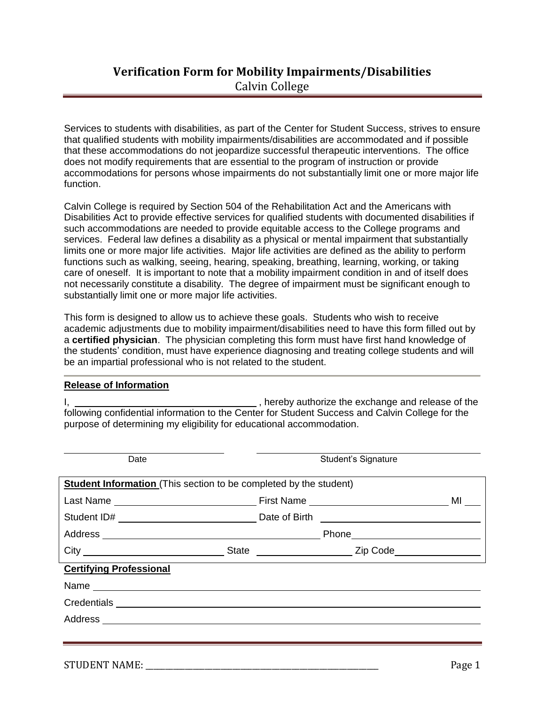# **Verification Form for Mobility Impairments/Disabilities** Calvin College

Services to students with disabilities, as part of the Center for Student Success, strives to ensure that qualified students with mobility impairments/disabilities are accommodated and if possible that these accommodations do not jeopardize successful therapeutic interventions. The office does not modify requirements that are essential to the program of instruction or provide accommodations for persons whose impairments do not substantially limit one or more major life function.

Calvin College is required by Section 504 of the Rehabilitation Act and the Americans with Disabilities Act to provide effective services for qualified students with documented disabilities if such accommodations are needed to provide equitable access to the College programs and services. Federal law defines a disability as a physical or mental impairment that substantially limits one or more major life activities. Major life activities are defined as the ability to perform functions such as walking, seeing, hearing, speaking, breathing, learning, working, or taking care of oneself. It is important to note that a mobility impairment condition in and of itself does not necessarily constitute a disability. The degree of impairment must be significant enough to substantially limit one or more major life activities.

This form is designed to allow us to achieve these goals. Students who wish to receive academic adjustments due to mobility impairment/disabilities need to have this form filled out by a **certified physician**. The physician completing this form must have first hand knowledge of the students' condition, must have experience diagnosing and treating college students and will be an impartial professional who is not related to the student.

### **Release of Information**

| , hereby authorize the exchange and release of the                                              |
|-------------------------------------------------------------------------------------------------|
| following confidential information to the Center for Student Success and Calvin College for the |
| purpose of determining my eligibility for educational accommodation.                            |

|  | <b>Student's Signature</b> |                                                                          |
|--|----------------------------|--------------------------------------------------------------------------|
|  |                            |                                                                          |
|  |                            |                                                                          |
|  |                            |                                                                          |
|  |                            |                                                                          |
|  |                            |                                                                          |
|  |                            |                                                                          |
|  |                            |                                                                          |
|  |                            |                                                                          |
|  |                            |                                                                          |
|  |                            |                                                                          |
|  |                            | <b>Student Information</b> (This section to be completed by the student) |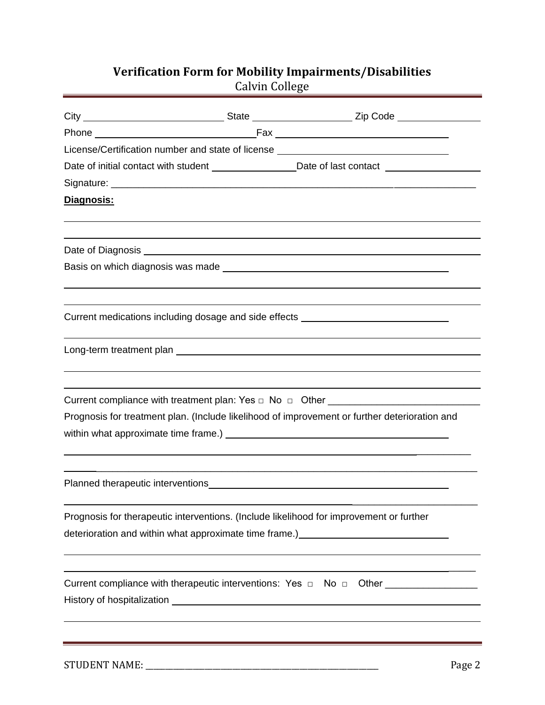### **Verification Form for Mobility Impairments/Disabilities** Calvin College

|                      | City __________________________________State _____________________________Zip Code _________________                                                                                                                                                                                                                              |
|----------------------|-----------------------------------------------------------------------------------------------------------------------------------------------------------------------------------------------------------------------------------------------------------------------------------------------------------------------------------|
|                      |                                                                                                                                                                                                                                                                                                                                   |
|                      | License/Certification number and state of license ______________________________                                                                                                                                                                                                                                                  |
|                      | Date of initial contact with student __________________Date of last contact _______________________                                                                                                                                                                                                                               |
|                      |                                                                                                                                                                                                                                                                                                                                   |
| Diagnosis:           |                                                                                                                                                                                                                                                                                                                                   |
|                      |                                                                                                                                                                                                                                                                                                                                   |
|                      |                                                                                                                                                                                                                                                                                                                                   |
|                      | Current medications including dosage and side effects __________________________                                                                                                                                                                                                                                                  |
|                      | Long-term treatment plan example and the contract of the contract of the contract of the contract of the contract of the contract of the contract of the contract of the contract of the contract of the contract of the contr                                                                                                    |
|                      | Prognosis for treatment plan. (Include likelihood of improvement or further deterioration and                                                                                                                                                                                                                                     |
|                      |                                                                                                                                                                                                                                                                                                                                   |
|                      | Prognosis for therapeutic interventions. (Include likelihood for improvement or further<br>deterioration and within what approximate time frame.)<br><u>example and sure and sure and sure and sure and sure and sure and sure and sure and sure and sure and sure and sure and sure and sure and sure and sure and sure and </u> |
|                      | Current compliance with therapeutic interventions: Yes □ No □ Other ____________<br>History of hospitalization example and the state of the state of the state of the state of the state of the state of the state of the state of the state of the state of the state of the state of the state of the state of t                |
| <b>STUDENT NAME:</b> | Page 2                                                                                                                                                                                                                                                                                                                            |